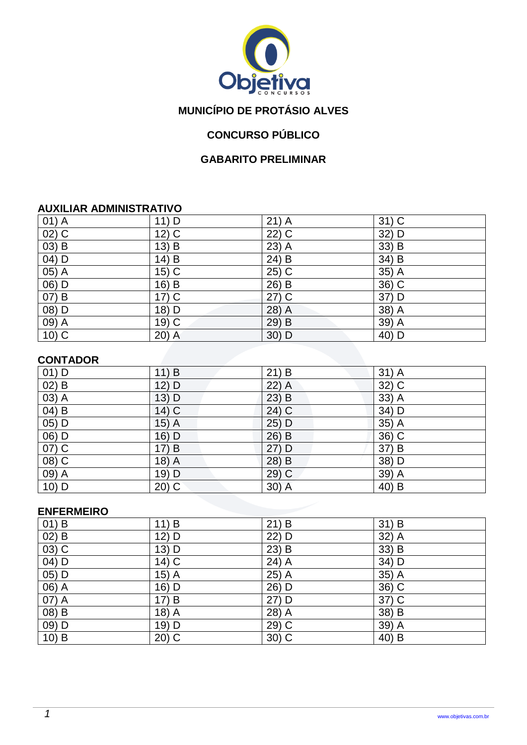

# **MUNICÍPIO DE PROTÁSIO ALVES**

# **CONCURSO PÚBLICO**

### **GABARITO PRELIMINAR**

#### **AUXILIAR ADMINISTRATIVO**

| $01)$ A  | 11) D   | $21)$ A            | $31)$ C |
|----------|---------|--------------------|---------|
| $02)$ C  | $12)$ C | $22)$ C            | 32) D   |
| $(03)$ B | $13)$ B | 23) $\overline{A}$ | 33) B   |
| $(04)$ D | 14) B   | 24) $\overline{B}$ | 34) B   |
| 05) A    | $15)$ C | $25)$ C            | 35) A   |
| 06) D    | 16) B   | 26) B              | $36)$ C |
| 07) B    | $17)$ C | $27)$ C            | 37) D   |
| 08) D    | 18) D   | 28) A              | 38) A   |
| $09)$ A  | 19) C   | 29) B              | 39) A   |
| $10)$ C  | 20) A   | $30)$ D            | 40) D   |

### **CONTADOR**

| . <del>.</del>                 |         |                     |         |
|--------------------------------|---------|---------------------|---------|
| $01)$ D                        | 11) B   | 21) B               | $31)$ A |
| $\overline{02}$ $\overline{B}$ | 12) D   | $22)$ A             | 32) C   |
| 03) A                          | 13) D   | $23)$ B             | 33) A   |
| $\overline{04}$ $\overline{B}$ | $14)$ C | $\overline{24}$ ) C | 34) D   |
| $\overline{05)}$ D             | $15)$ A | 25) D               | $35)$ A |
| 06) D                          | 16) D   | 26) B               | 36) C   |
| $\overline{07)}$ C             | 17) B   | 27) D               | 37) B   |
| $(08)$ C                       | $18)$ A | 28) B               | 38) D   |
| 09) A                          | $19)$ D | 29) C               | 39) A   |
| $10)$ D                        | $20)$ C | $30)$ A             | 40) B   |

### **ENFERMEIRO**

| $01)$ B            | 11) B   | $21)$ B | 31) B              |
|--------------------|---------|---------|--------------------|
| $\overline{02}$ B  | $12)$ D | 22) D   | $32)$ A            |
| $(03)$ C           | 13) D   | $23)$ B | $33)$ B            |
| 04) D              | 14) C   | $24)$ A | 34) D              |
| $\overline{05)}$ D | $15)$ A | 25) A   | 35) A              |
| 06) A              | 16) D   | 26) D   | $36)$ C            |
| 07) A              | 17) B   | 27) D   | 37) C              |
| $(08)$ B           | $18)$ A | 28) A   | $38) \overline{B}$ |
| 09) D              | 19) D   | 29) C   | $39)$ A            |
| $10)$ B            | $20)$ C | $30)$ C | 40) B              |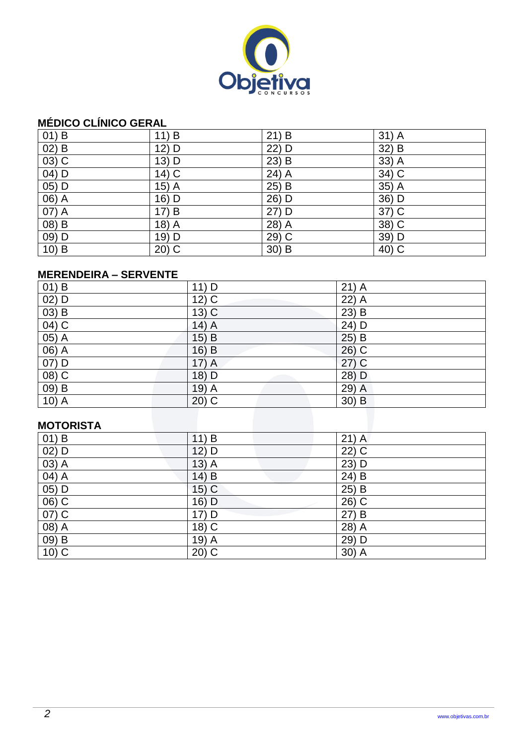

# **MÉDICO CLÍNICO GERAL**

| $01)$ B  | 11) B   | 21) B   | $31)$ A |
|----------|---------|---------|---------|
| 02) B    | 12) D   | 22) D   | 32) B   |
| $03)$ C  | 13) D   | $23)$ B | 33) A   |
| $04)$ D  | $14)$ C | $24)$ A | $34)$ C |
| $05)$ D  | $15)$ A | $25)$ B | $35)$ A |
| 06) A    | 16) D   | 26) D   | 36) D   |
| 07) A    | 17) B   | 27) D   | 37) C   |
| $(08)$ B | 18) A   | 28) A   | 38) C   |
| $09)$ D  | 19) D   | 29) C   | 39) D   |
| $10)$ B  | 20) C   | $30)$ B | 40) C   |

### **MERENDEIRA – SERVENTE**

| $01)$ B            | $11)$ D | $21)$ A |
|--------------------|---------|---------|
| 02) D              | $12)$ C | 22) A   |
| $(03)$ B           | $13)$ C | 23) B   |
| $\overline{04)}$ C | $14)$ A | 24) D   |
| $05)$ A            | $15)$ B | $25)$ B |
| 06) A              | $16)$ B | $26)$ C |
| 07) D              | $17)$ A | $27)$ C |
| $(08)$ C           | 18) D   | $28)$ D |
| $09)$ B            | $19)$ A | 29) A   |
| $10)$ A            | $20)$ C | $30)$ B |
|                    |         |         |
| <b>MOTORISTA</b>   |         |         |

#### **MOTORISTA**

| $01)$ B                        | 11) B                          | $21)$ A |
|--------------------------------|--------------------------------|---------|
| $02)$ D                        | $12)$ D                        | $22)$ C |
| 03) A                          | 13)<br>$\overline{\mathsf{A}}$ | $23)$ D |
| 04) A                          | $14)$ B                        | 24) B   |
| $05)$ D                        | $15)$ C                        | 25) B   |
| $\overline{06}$ $\overline{C}$ | 16) D                          | $26)$ C |
| 07) C                          | 17) D                          | 27) B   |
| $(08)$ A                       | $18)$ C                        | $28)$ A |
| $(09)$ B                       | 19) A                          | 29) D   |
| $10)$ C                        | $20)$ C                        | 30) A   |